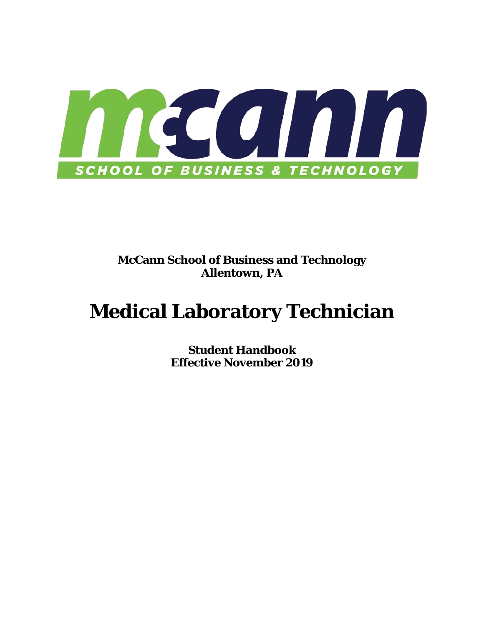

## **McCann School of Business and Technology Allentown, PA**

# **Medical Laboratory Technician**

**Student Handbook Effective November 2019**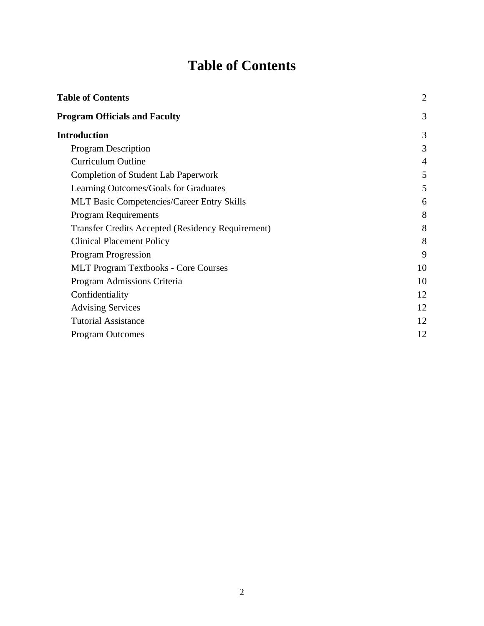## **Table of Contents**

<span id="page-1-0"></span>

| <b>Table of Contents</b>                                 | $\overline{2}$ |
|----------------------------------------------------------|----------------|
| <b>Program Officials and Faculty</b>                     | 3              |
| <b>Introduction</b>                                      | 3              |
| <b>Program Description</b>                               | 3              |
| <b>Curriculum Outline</b>                                | 4              |
| <b>Completion of Student Lab Paperwork</b>               | 5              |
| Learning Outcomes/Goals for Graduates                    | 5              |
| <b>MLT Basic Competencies/Career Entry Skills</b>        | 6              |
| <b>Program Requirements</b>                              | 8              |
| <b>Transfer Credits Accepted (Residency Requirement)</b> | 8              |
| <b>Clinical Placement Policy</b>                         | 8              |
| Program Progression                                      | 9              |
| <b>MLT Program Textbooks - Core Courses</b>              | 10             |
| Program Admissions Criteria                              | 10             |
| Confidentiality                                          | 12             |
| <b>Advising Services</b>                                 | 12             |
| <b>Tutorial Assistance</b>                               | 12             |
| <b>Program Outcomes</b>                                  | 12             |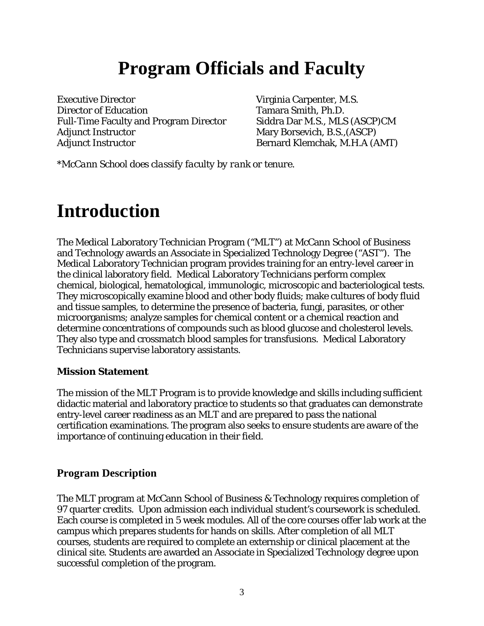## **Program Officials and Faculty**

<span id="page-2-0"></span>Executive Director Virginia Carpenter, M.S. Director of Education Tamara Smith, Ph.D. Full-Time Faculty and Program Director Siddra Dar M.S., MLS (ASCP)CM Adjunct Instructor Mary Borsevich, B.S., (ASCP) Adjunct Instructor Bernard Klemchak, M.H.A (AMT)

*\*McCann School does classify faculty by rank or tenure.* 

## <span id="page-2-1"></span>**Introduction**

The Medical Laboratory Technician Program ("MLT") at McCann School of Business and Technology awards an Associate in Specialized Technology Degree ("AST"). The Medical Laboratory Technician program provides training for an entry-level career in the clinical laboratory field. Medical Laboratory Technicians perform complex chemical, biological, hematological, immunologic, microscopic and bacteriological tests. They microscopically examine blood and other body fluids; make cultures of body fluid and tissue samples, to determine the presence of bacteria, fungi, parasites, or other microorganisms; analyze samples for chemical content or a chemical reaction and determine concentrations of compounds such as blood glucose and cholesterol levels. They also type and crossmatch blood samples for transfusions. Medical Laboratory Technicians supervise laboratory assistants.

#### **Mission Statement**

The mission of the MLT Program is to provide knowledge and skills including sufficient didactic material and laboratory practice to students so that graduates can demonstrate entry-level career readiness as an MLT and are prepared to pass the national certification examinations. The program also seeks to ensure students are aware of the importance of continuing education in their field.

#### <span id="page-2-2"></span>**Program Description**

The MLT program at McCann School of Business & Technology requires completion of 97 quarter credits. Upon admission each individual student's coursework is scheduled. Each course is completed in 5 week modules. All of the core courses offer lab work at the campus which prepares students for hands on skills. After completion of all MLT courses, students are required to complete an externship or clinical placement at the clinical site. Students are awarded an Associate in Specialized Technology degree upon successful completion of the program.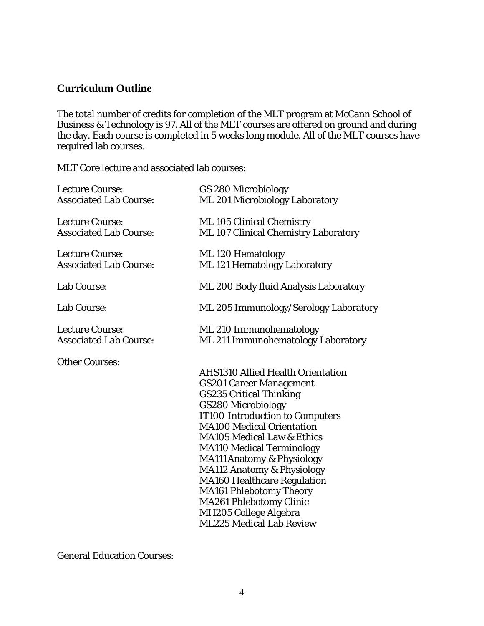### <span id="page-3-0"></span>**Curriculum Outline**

The total number of credits for completion of the MLT program at McCann School of Business & Technology is 97. All of the MLT courses are offered on ground and during the day. Each course is completed in 5 weeks long module. All of the MLT courses have required lab courses.

MLT Core lecture and associated lab courses:

| GS 280 Microbiology                         |
|---------------------------------------------|
| ML 201 Microbiology Laboratory              |
| ML 105 Clinical Chemistry                   |
| <b>ML 107 Clinical Chemistry Laboratory</b> |
| ML 120 Hematology                           |
| ML 121 Hematology Laboratory                |
| ML 200 Body fluid Analysis Laboratory       |
| ML 205 Immunology/Serology Laboratory       |
| ML 210 Immunohematology                     |
| ML 211 Immunohematology Laboratory          |
|                                             |
| <b>AHS1310 Allied Health Orientation</b>    |
| <b>GS201 Career Management</b>              |
| <b>GS235 Critical Thinking</b>              |
| GS280 Microbiology                          |
| <b>IT100 Introduction to Computers</b>      |
| <b>MA100 Medical Orientation</b>            |
| <b>MA105 Medical Law &amp; Ethics</b>       |
| <b>MA110 Medical Terminology</b>            |
| <b>MA111 Anatomy &amp; Physiology</b>       |
| <b>MA112 Anatomy &amp; Physiology</b>       |
| <b>MA160 Healthcare Regulation</b>          |
| <b>MA161 Phlebotomy Theory</b>              |
| <b>MA261 Phlebotomy Clinic</b>              |
| MH205 College Algebra                       |
| <b>ML225 Medical Lab Review</b>             |
|                                             |

General Education Courses: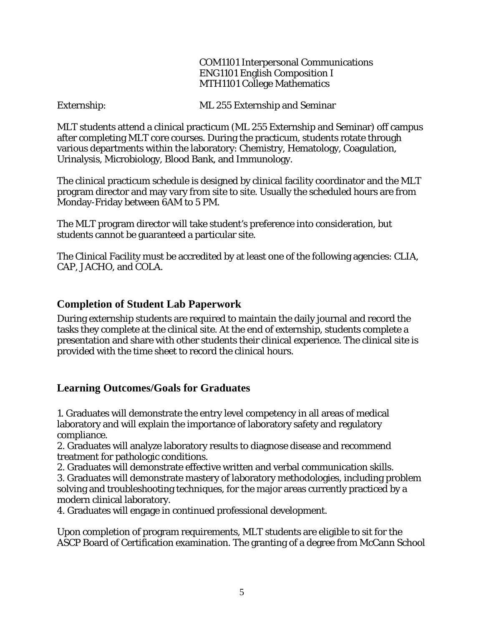COM1101 Interpersonal Communications ENG1101 English Composition I MTH1101 College Mathematics

Externship: ML 255 Externship and Seminar

MLT students attend a clinical practicum (ML 255 Externship and Seminar) off campus after completing MLT core courses. During the practicum, students rotate through various departments within the laboratory: Chemistry, Hematology, Coagulation, Urinalysis, Microbiology, Blood Bank, and Immunology.

The clinical practicum schedule is designed by clinical facility coordinator and the MLT program director and may vary from site to site. Usually the scheduled hours are from Monday-Friday between 6AM to 5 PM.

The MLT program director will take student's preference into consideration, but students cannot be guaranteed a particular site.

The Clinical Facility must be accredited by at least one of the following agencies: CLIA, CAP, JACHO, and COLA.

#### <span id="page-4-0"></span>**Completion of Student Lab Paperwork**

During externship students are required to maintain the daily journal and record the tasks they complete at the clinical site. At the end of externship, students complete a presentation and share with other students their clinical experience. The clinical site is provided with the time sheet to record the clinical hours.

#### <span id="page-4-1"></span>**Learning Outcomes/Goals for Graduates**

1. Graduates will demonstrate the entry level competency in all areas of medical laboratory and will explain the importance of laboratory safety and regulatory compliance.

2. Graduates will analyze laboratory results to diagnose disease and recommend treatment for pathologic conditions.

2. Graduates will demonstrate effective written and verbal communication skills. 3. Graduates will demonstrate mastery of laboratory methodologies, including problem solving and troubleshooting techniques, for the major areas currently practiced by a

modern clinical laboratory.

4. Graduates will engage in continued professional development.

Upon completion of program requirements, MLT students are eligible to sit for the ASCP Board of Certification examination. The granting of a degree from McCann School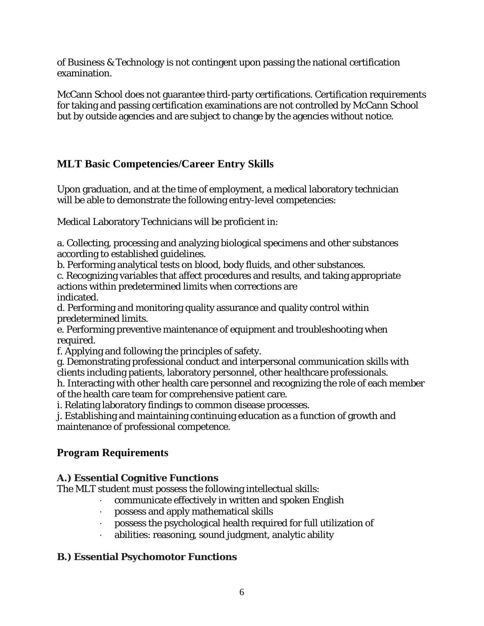of Business & Technology is not contingent upon passing the national certification examination.

McCann School does not guarantee third-party certifications. Certification requirements for taking and passing certification examinations are not controlled by McCann School but by outside agencies and are subject to change by the agencies without notice.

## <span id="page-5-0"></span>**MLT Basic Competencies/Career Entry Skills**

Upon graduation, and at the time of employment, a medical laboratory technician will be able to demonstrate the following entry-level competencies:

Medical Laboratory Technicians will be proficient in:

a. Collecting, processing and analyzing biological specimens and other substances according to established guidelines.

b. Performing analytical tests on blood, body fluids, and other substances.

c. Recognizing variables that affect procedures and results, and taking appropriate actions within predetermined limits when corrections are indicated.

d. Performing and monitoring quality assurance and quality control within predetermined limits.

e. Performing preventive maintenance of equipment and troubleshooting when required.

f. Applying and following the principles of safety.

g. Demonstrating professional conduct and interpersonal communication skills with clients including patients, laboratory personnel, other healthcare professionals.

h. Interacting with other health care personnel and recognizing the role of each member of the health care team for comprehensive patient care.

i. Relating laboratory findings to common disease processes.

j. Establishing and maintaining continuing education as a function of growth and maintenance of professional competence.

## **Program Requirements**

### **A.) Essential Cognitive Functions**

The MLT student must possess the following intellectual skills:

- communicate effectively in written and spoken English
- · possess and apply mathematical skills
- · possess the psychological health required for full utilization of
- abilities: reasoning, sound judgment, analytic ability

#### **B.) Essential Psychomotor Functions**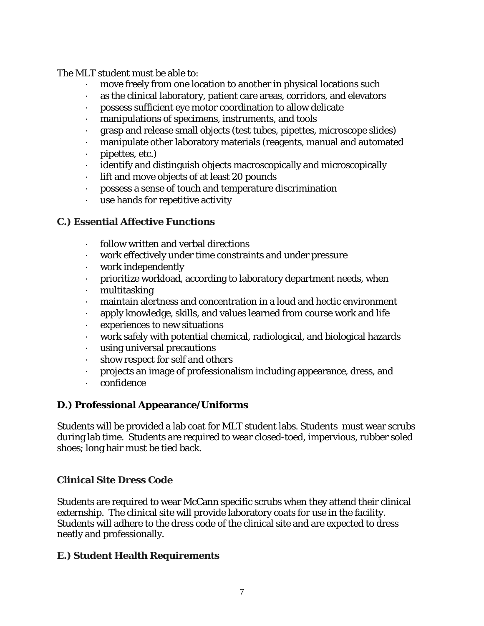The MLT student must be able to:

- move freely from one location to another in physical locations such
- · as the clinical laboratory, patient care areas, corridors, and elevators
- · possess sufficient eye motor coordination to allow delicate
- · manipulations of specimens, instruments, and tools
- · grasp and release small objects (test tubes, pipettes, microscope slides)
- manipulate other laboratory materials (reagents, manual and automated
- · pipettes, etc.)
- · identify and distinguish objects macroscopically and microscopically
- · lift and move objects of at least 20 pounds
- · possess a sense of touch and temperature discrimination
- use hands for repetitive activity

#### **C.) Essential Affective Functions**

- · follow written and verbal directions
- · work effectively under time constraints and under pressure
- work independently
- · prioritize workload, according to laboratory department needs, when
- · multitasking
- · maintain alertness and concentration in a loud and hectic environment
- · apply knowledge, skills, and values learned from course work and life
- experiences to new situations
- · work safely with potential chemical, radiological, and biological hazards
- · using universal precautions
- show respect for self and others
- · projects an image of professionalism including appearance, dress, and
- · confidence

#### **D.) Professional Appearance/Uniforms**

Students will be provided a lab coat for MLT student labs. Students must wear scrubs during lab time. Students are required to wear closed-toed, impervious, rubber soled shoes; long hair must be tied back.

#### **Clinical Site Dress Code**

Students are required to wear McCann specific scrubs when they attend their clinical externship. The clinical site will provide laboratory coats for use in the facility. Students will adhere to the dress code of the clinical site and are expected to dress neatly and professionally.

#### **E.) Student Health Requirements**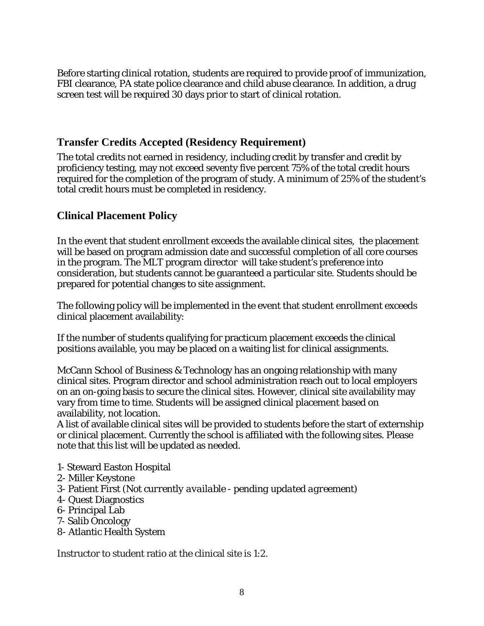Before starting clinical rotation, students are required to provide proof of immunization, FBI clearance, PA state police clearance and child abuse clearance. In addition, a drug screen test will be required 30 days prior to start of clinical rotation.

#### **Transfer Credits Accepted (Residency Requirement)**

The total credits not earned in residency, including credit by transfer and credit by proficiency testing, may not exceed seventy five percent 75% of the total credit hours required for the completion of the program of study. A minimum of 25% of the student's total credit hours must be completed in residency.

#### **Clinical Placement Policy**

In the event that student enrollment exceeds the available clinical sites, the placement will be based on program admission date and successful completion of all core courses in the program. The MLT program director will take student's preference into consideration, but students cannot be guaranteed a particular site. Students should be prepared for potential changes to site assignment.

The following policy will be implemented in the event that student enrollment exceeds clinical placement availability:

<span id="page-7-0"></span>If the number of students qualifying for practicum placement exceeds the clinical positions available, you may be placed on a waiting list for clinical assignments.

McCann School of Business & Technology has an ongoing relationship with many clinical sites. Program director and school administration reach out to local employers on an on-going basis to secure the clinical sites. However, clinical site availability may vary from time to time. Students will be assigned clinical placement based on availability, not location.

A list of available clinical sites will be provided to students before the start of externship or clinical placement. Currently the school is affiliated with the following sites. Please note that this list will be updated as needed.

- 1- Steward Easton Hospital
- 2- Miller Keystone
- 3- Patient First (*Not currently available - pending updated agreement*)
- 4- Quest Diagnostics
- 6- Principal Lab
- 7- Salib Oncology
- 8- Atlantic Health System

Instructor to student ratio at the clinical site is 1:2.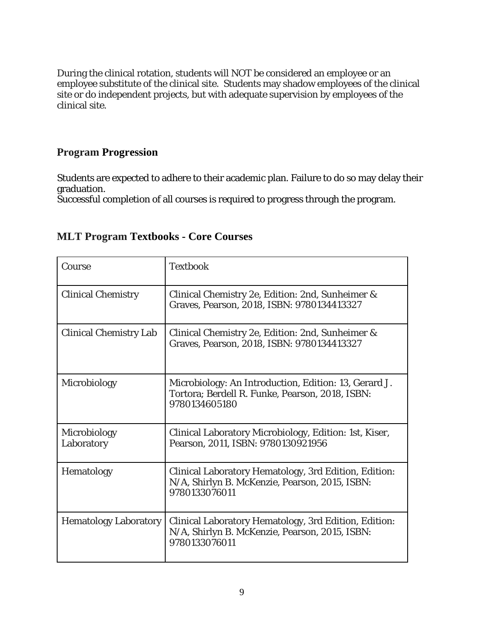During the clinical rotation, students will NOT be considered an employee or an employee substitute of the clinical site. Students may shadow employees of the clinical site or do independent projects, but with adequate supervision by employees of the clinical site.

#### **Program Progression**

Students are expected to adhere to their academic plan. Failure to do so may delay their graduation.

<span id="page-8-0"></span>Successful completion of all courses is required to progress through the program.

| Course                        | <b>Textbook</b>                                                                                                           |
|-------------------------------|---------------------------------------------------------------------------------------------------------------------------|
| <b>Clinical Chemistry</b>     | Clinical Chemistry 2e, Edition: 2nd, Sunheimer &<br>Graves, Pearson, 2018, ISBN: 9780134413327                            |
| <b>Clinical Chemistry Lab</b> | Clinical Chemistry 2e, Edition: 2nd, Sunheimer &<br>Graves, Pearson, 2018, ISBN: 9780134413327                            |
| Microbiology                  | Microbiology: An Introduction, Edition: 13, Gerard J.<br>Tortora; Berdell R. Funke, Pearson, 2018, ISBN:<br>9780134605180 |
| Microbiology<br>Laboratory    | Clinical Laboratory Microbiology, Edition: 1st, Kiser,<br>Pearson, 2011, ISBN: 9780130921956                              |
| Hematology                    | Clinical Laboratory Hematology, 3rd Edition, Edition:<br>N/A, Shirlyn B. McKenzie, Pearson, 2015, ISBN:<br>9780133076011  |
| <b>Hematology Laboratory</b>  | Clinical Laboratory Hematology, 3rd Edition, Edition:<br>N/A, Shirlyn B. McKenzie, Pearson, 2015, ISBN:<br>9780133076011  |

### **MLT Program Textbooks - Core Courses**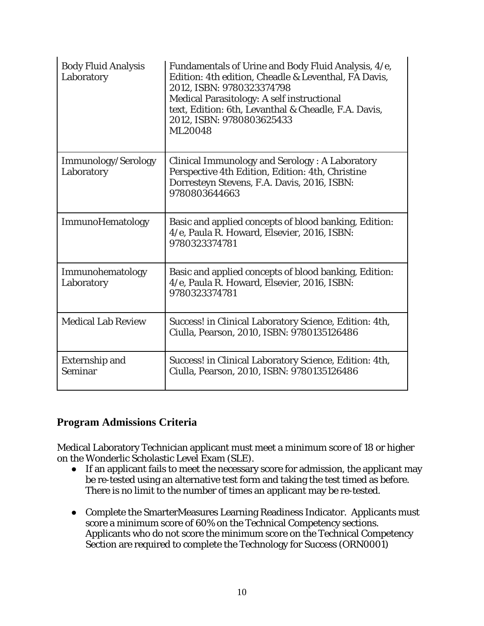| <b>Body Fluid Analysis</b><br>Laboratory | Fundamentals of Urine and Body Fluid Analysis, 4/e,<br>Edition: 4th edition, Cheadle & Leventhal, FA Davis,<br>2012, ISBN: 9780323374798<br>Medical Parasitology: A self instructional<br>text, Edition: 6th, Levanthal & Cheadle, F.A. Davis,<br>2012, ISBN: 9780803625433<br>ML20048 |
|------------------------------------------|----------------------------------------------------------------------------------------------------------------------------------------------------------------------------------------------------------------------------------------------------------------------------------------|
| Immunology/Serology<br>Laboratory        | <b>Clinical Immunology and Serology: A Laboratory</b><br>Perspective 4th Edition, Edition: 4th, Christine<br>Dorresteyn Stevens, F.A. Davis, 2016, ISBN:<br>9780803644663                                                                                                              |
| ImmunoHematology                         | Basic and applied concepts of blood banking, Edition:<br>4/e, Paula R. Howard, Elsevier, 2016, ISBN:<br>9780323374781                                                                                                                                                                  |
| Immunohematology<br>Laboratory           | Basic and applied concepts of blood banking, Edition:<br>4/e, Paula R. Howard, Elsevier, 2016, ISBN:<br>9780323374781                                                                                                                                                                  |
| <b>Medical Lab Review</b>                | Success! in Clinical Laboratory Science, Edition: 4th,<br>Ciulla, Pearson, 2010, ISBN: 9780135126486                                                                                                                                                                                   |
| <b>Externship and</b><br>Seminar         | Success! in Clinical Laboratory Science, Edition: 4th,<br>Ciulla, Pearson, 2010, ISBN: 9780135126486                                                                                                                                                                                   |

#### <span id="page-9-1"></span><span id="page-9-0"></span>**Program Admissions Criteria**

Medical Laboratory Technician applicant must meet a minimum score of 18 or higher on the Wonderlic Scholastic Level Exam (SLE).

- If an applicant fails to meet the necessary score for admission, the applicant may be re-tested using an alternative test form and taking the test timed as before. There is no limit to the number of times an applicant may be re-tested.
- Complete the SmarterMeasures Learning Readiness Indicator. Applicants must score a minimum score of 60% on the Technical Competency sections. Applicants who do not score the minimum score on the Technical Competency Section are required to complete the Technology for Success (ORN0001)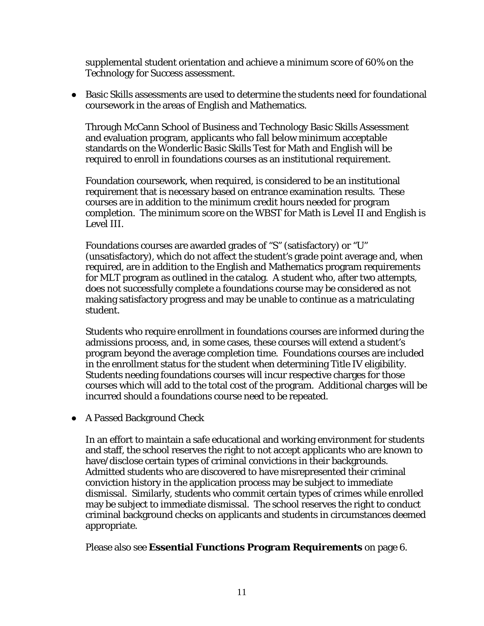supplemental student orientation and achieve a minimum score of 60% on the Technology for Success assessment.

● Basic Skills assessments are used to determine the students need for foundational coursework in the areas of English and Mathematics.

Through McCann School of Business and Technology Basic Skills Assessment and evaluation program, applicants who fall below minimum acceptable standards on the Wonderlic Basic Skills Test for Math and English will be required to enroll in foundations courses as an institutional requirement.

Foundation coursework, when required, is considered to be an institutional requirement that is necessary based on entrance examination results. These courses are in addition to the minimum credit hours needed for program completion. The minimum score on the WBST for Math is Level II and English is Level III.

Foundations courses are awarded grades of "S" (satisfactory) or "U" (unsatisfactory), which do not affect the student's grade point average and, when required, are in addition to the English and Mathematics program requirements for MLT program as outlined in the catalog. A student who, after two attempts, does not successfully complete a foundations course may be considered as not making satisfactory progress and may be unable to continue as a matriculating student.

Students who require enrollment in foundations courses are informed during the admissions process, and, in some cases, these courses will extend a student's program beyond the average completion time. Foundations courses are included in the enrollment status for the student when determining Title IV eligibility. Students needing foundations courses will incur respective charges for those courses which will add to the total cost of the program. Additional charges will be incurred should a foundations course need to be repeated.

● A Passed Background Check

In an effort to maintain a safe educational and working environment for students and staff, the school reserves the right to not accept applicants who are known to have/disclose certain types of criminal convictions in their backgrounds. Admitted students who are discovered to have misrepresented their criminal conviction history in the application process may be subject to immediate dismissal. Similarly, students who commit certain types of crimes while enrolled may be subject to immediate dismissal. The school reserves the right to conduct criminal background checks on applicants and students in circumstances deemed appropriate.

Please also see **Essential Functions Program Requirements** on page 6.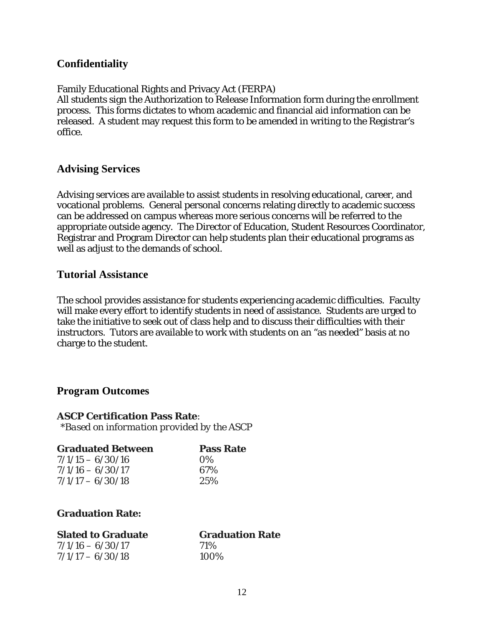#### <span id="page-11-0"></span>**Confidentiality**

#### Family Educational Rights and Privacy Act (FERPA)

All students sign the Authorization to Release Information form during the enrollment process. This forms dictates to whom academic and financial aid information can be released. A student may request this form to be amended in writing to the Registrar's office.

#### <span id="page-11-1"></span>**Advising Services**

Advising services are available to assist students in resolving educational, career, and vocational problems. General personal concerns relating directly to academic success can be addressed on campus whereas more serious concerns will be referred to the appropriate outside agency. The Director of Education, Student Resources Coordinator, Registrar and Program Director can help students plan their educational programs as well as adjust to the demands of school.

#### <span id="page-11-2"></span>**Tutorial Assistance**

The school provides assistance for students experiencing academic difficulties. Faculty will make every effort to identify students in need of assistance. Students are urged to take the initiative to seek out of class help and to discuss their difficulties with their instructors. Tutors are available to work with students on an "as needed" basis at no charge to the student.

#### <span id="page-11-3"></span>**Program Outcomes**

#### **ASCP Certification Pass Rate**:

*\*Based on information provided by the ASCP*

| <b>Graduated Between</b> | <b>Pass Rate</b> |
|--------------------------|------------------|
| $7/1/15 - 6/30/16$       | $\Omega\%$       |
| $7/1/16 - 6/30/17$       | 67%              |
| $7/1/17 - 6/30/18$       | 2.5%             |

#### **Graduation Rate:**

| <b>Slated to Graduate</b> | <b>Graduation Rate</b> |
|---------------------------|------------------------|
| $7/1/16 - 6/30/17$        | <b>71%</b>             |
| $7/1/17 - 6/30/18$        | 100%                   |